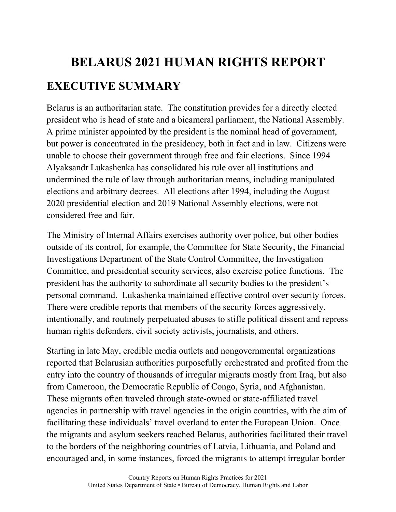## **BELARUS 2021 HUMAN RIGHTS REPORT EXECUTIVE SUMMARY**

Belarus is an authoritarian state. The constitution provides for a directly elected president who is head of state and a bicameral parliament, the National Assembly. A prime minister appointed by the president is the nominal head of government, but power is concentrated in the presidency, both in fact and in law. Citizens were unable to choose their government through free and fair elections. Since 1994 Alyaksandr Lukashenka has consolidated his rule over all institutions and undermined the rule of law through authoritarian means, including manipulated elections and arbitrary decrees. All elections after 1994, including the August 2020 presidential election and 2019 National Assembly elections, were not considered free and fair.

The Ministry of Internal Affairs exercises authority over police, but other bodies outside of its control, for example, the Committee for State Security, the Financial Investigations Department of the State Control Committee, the Investigation Committee, and presidential security services, also exercise police functions. The president has the authority to subordinate all security bodies to the president's personal command. Lukashenka maintained effective control over security forces. There were credible reports that members of the security forces aggressively, intentionally, and routinely perpetuated abuses to stifle political dissent and repress human rights defenders, civil society activists, journalists, and others.

Starting in late May, credible media outlets and nongovernmental organizations reported that Belarusian authorities purposefully orchestrated and profited from the entry into the country of thousands of irregular migrants mostly from Iraq, but also from Cameroon, the Democratic Republic of Congo, Syria, and Afghanistan. These migrants often traveled through state-owned or state-affiliated travel agencies in partnership with travel agencies in the origin countries, with the aim of facilitating these individuals' travel overland to enter the European Union. Once the migrants and asylum seekers reached Belarus, authorities facilitated their travel to the borders of the neighboring countries of Latvia, Lithuania, and Poland and encouraged and, in some instances, forced the migrants to attempt irregular border